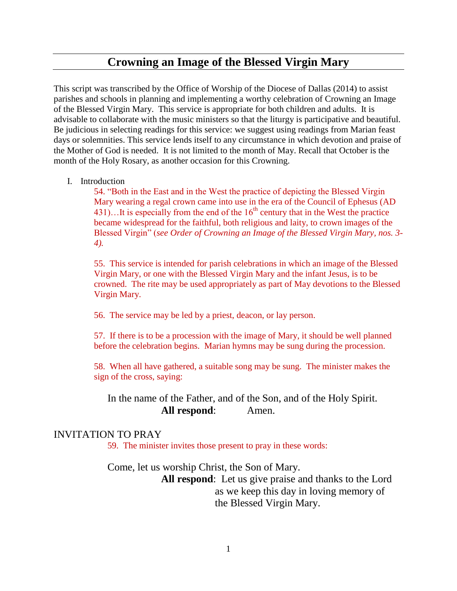## **Crowning an Image of the Blessed Virgin Mary**

This script was transcribed by the Office of Worship of the Diocese of Dallas (2014) to assist parishes and schools in planning and implementing a worthy celebration of Crowning an Image of the Blessed Virgin Mary. This service is appropriate for both children and adults. It is advisable to collaborate with the music ministers so that the liturgy is participative and beautiful. Be judicious in selecting readings for this service: we suggest using readings from Marian feast days or solemnities. This service lends itself to any circumstance in which devotion and praise of the Mother of God is needed. It is not limited to the month of May. Recall that October is the month of the Holy Rosary, as another occasion for this Crowning.

#### I. Introduction

54. "Both in the East and in the West the practice of depicting the Blessed Virgin Mary wearing a regal crown came into use in the era of the Council of Ephesus (AD  $431$ )...It is especially from the end of the  $16<sup>th</sup>$  century that in the West the practice became widespread for the faithful, both religious and laity, to crown images of the Blessed Virgin" (*see Order of Crowning an Image of the Blessed Virgin Mary, nos. 3- 4).*

55. This service is intended for parish celebrations in which an image of the Blessed Virgin Mary, or one with the Blessed Virgin Mary and the infant Jesus, is to be crowned. The rite may be used appropriately as part of May devotions to the Blessed Virgin Mary.

56. The service may be led by a priest, deacon, or lay person.

57. If there is to be a procession with the image of Mary, it should be well planned before the celebration begins. Marian hymns may be sung during the procession.

58. When all have gathered, a suitable song may be sung. The minister makes the sign of the cross, saying:

In the name of the Father, and of the Son, and of the Holy Spirit. **All respond**: Amen.

#### INVITATION TO PRAY

59. The minister invites those present to pray in these words:

Come, let us worship Christ, the Son of Mary. **All respond**: Let us give praise and thanks to the Lord as we keep this day in loving memory of the Blessed Virgin Mary.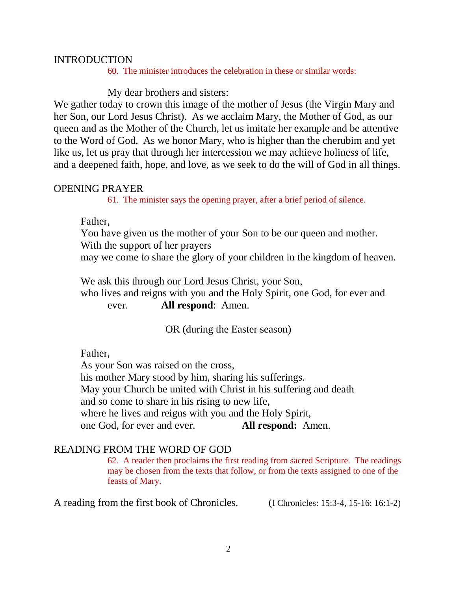### INTRODUCTION

60. The minister introduces the celebration in these or similar words:

My dear brothers and sisters:

We gather today to crown this image of the mother of Jesus (the Virgin Mary and her Son, our Lord Jesus Christ). As we acclaim Mary, the Mother of God, as our queen and as the Mother of the Church, let us imitate her example and be attentive to the Word of God. As we honor Mary, who is higher than the cherubim and yet like us, let us pray that through her intercession we may achieve holiness of life, and a deepened faith, hope, and love, as we seek to do the will of God in all things.

## OPENING PRAYER

61. The minister says the opening prayer, after a brief period of silence.

Father,

You have given us the mother of your Son to be our queen and mother. With the support of her prayers may we come to share the glory of your children in the kingdom of heaven.

We ask this through our Lord Jesus Christ, your Son,

who lives and reigns with you and the Holy Spirit, one God, for ever and ever. **All respond**: Amen.

OR (during the Easter season)

Father,

As your Son was raised on the cross, his mother Mary stood by him, sharing his sufferings. May your Church be united with Christ in his suffering and death and so come to share in his rising to new life, where he lives and reigns with you and the Holy Spirit, one God, for ever and ever. **All respond:** Amen.

## READING FROM THE WORD OF GOD

62. A reader then proclaims the first reading from sacred Scripture. The readings may be chosen from the texts that follow, or from the texts assigned to one of the feasts of Mary.

A reading from the first book of Chronicles. (I Chronicles: 15:3-4, 15-16: 16:1-2)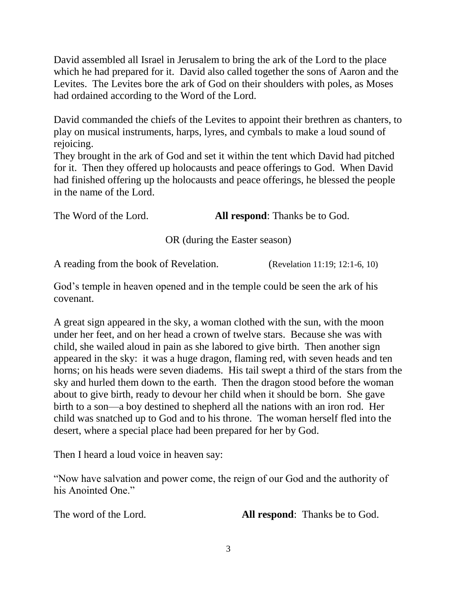David assembled all Israel in Jerusalem to bring the ark of the Lord to the place which he had prepared for it. David also called together the sons of Aaron and the Levites. The Levites bore the ark of God on their shoulders with poles, as Moses had ordained according to the Word of the Lord.

David commanded the chiefs of the Levites to appoint their brethren as chanters, to play on musical instruments, harps, lyres, and cymbals to make a loud sound of rejoicing.

They brought in the ark of God and set it within the tent which David had pitched for it. Then they offered up holocausts and peace offerings to God. When David had finished offering up the holocausts and peace offerings, he blessed the people in the name of the Lord.

The Word of the Lord. **All respond**: Thanks be to God.

OR (during the Easter season)

A reading from the book of Revelation. (Revelation 11:19; 12:1-6, 10)

God's temple in heaven opened and in the temple could be seen the ark of his covenant.

A great sign appeared in the sky, a woman clothed with the sun, with the moon under her feet, and on her head a crown of twelve stars. Because she was with child, she wailed aloud in pain as she labored to give birth. Then another sign appeared in the sky: it was a huge dragon, flaming red, with seven heads and ten horns; on his heads were seven diadems. His tail swept a third of the stars from the sky and hurled them down to the earth. Then the dragon stood before the woman about to give birth, ready to devour her child when it should be born. She gave birth to a son—a boy destined to shepherd all the nations with an iron rod. Her child was snatched up to God and to his throne. The woman herself fled into the desert, where a special place had been prepared for her by God.

Then I heard a loud voice in heaven say:

"Now have salvation and power come, the reign of our God and the authority of his Anointed One."

The word of the Lord. **All respond**: Thanks be to God.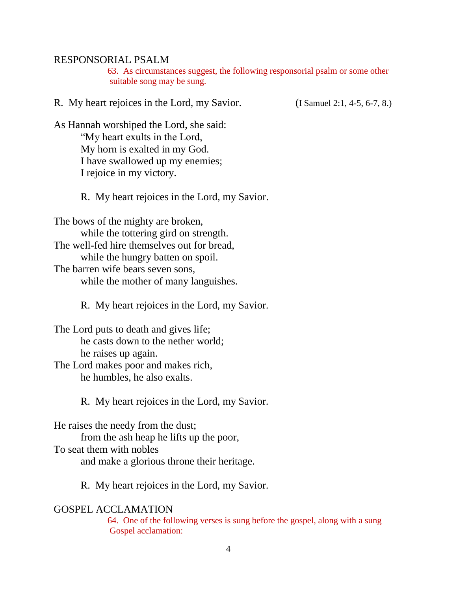#### RESPONSORIAL PSALM

63. As circumstances suggest, the following responsorial psalm or some other suitable song may be sung.

R. My heart rejoices in the Lord, my Savior. (I Samuel 2:1, 4-5, 6-7, 8.)

As Hannah worshiped the Lord, she said: "My heart exults in the Lord, My horn is exalted in my God. I have swallowed up my enemies; I rejoice in my victory.

R. My heart rejoices in the Lord, my Savior.

The bows of the mighty are broken, while the tottering gird on strength. The well-fed hire themselves out for bread, while the hungry batten on spoil. The barren wife bears seven sons, while the mother of many languishes.

R. My heart rejoices in the Lord, my Savior.

The Lord puts to death and gives life; he casts down to the nether world; he raises up again.

The Lord makes poor and makes rich, he humbles, he also exalts.

R. My heart rejoices in the Lord, my Savior.

He raises the needy from the dust; from the ash heap he lifts up the poor, To seat them with nobles and make a glorious throne their heritage.

R. My heart rejoices in the Lord, my Savior.

### GOSPEL ACCLAMATION

64. One of the following verses is sung before the gospel, along with a sung Gospel acclamation: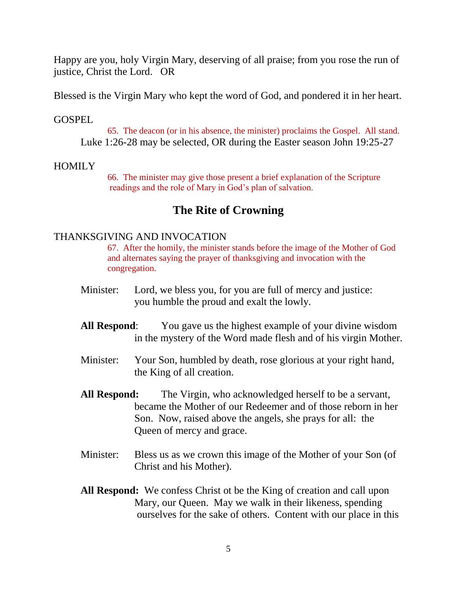Happy are you, holy Virgin Mary, deserving of all praise; from you rose the run of justice, Christ the Lord. OR

Blessed is the Virgin Mary who kept the word of God, and pondered it in her heart.

### **GOSPEL**

65. The deacon (or in his absence, the minister) proclaims the Gospel. All stand. Luke 1:26-28 may be selected, OR during the Easter season John 19:25-27

## HOMILY

66. The minister may give those present a brief explanation of the Scripture readings and the role of Mary in God's plan of salvation.

# **The Rite of Crowning**

#### THANKSGIVING AND INVOCATION

67. After the homily, the minister stands before the image of the Mother of God and alternates saying the prayer of thanksgiving and invocation with the congregation.

- Minister: Lord, we bless you, for you are full of mercy and justice: you humble the proud and exalt the lowly.
- **All Respond**: You gave us the highest example of your divine wisdom in the mystery of the Word made flesh and of his virgin Mother.
- Minister: Your Son, humbled by death, rose glorious at your right hand, the King of all creation.
- **All Respond:** The Virgin, who acknowledged herself to be a servant, became the Mother of our Redeemer and of those reborn in her Son. Now, raised above the angels, she prays for all: the Queen of mercy and grace.
- Minister: Bless us as we crown this image of the Mother of your Son (of Christ and his Mother).
- **All Respond:** We confess Christ ot be the King of creation and call upon Mary, our Queen. May we walk in their likeness, spending ourselves for the sake of others. Content with our place in this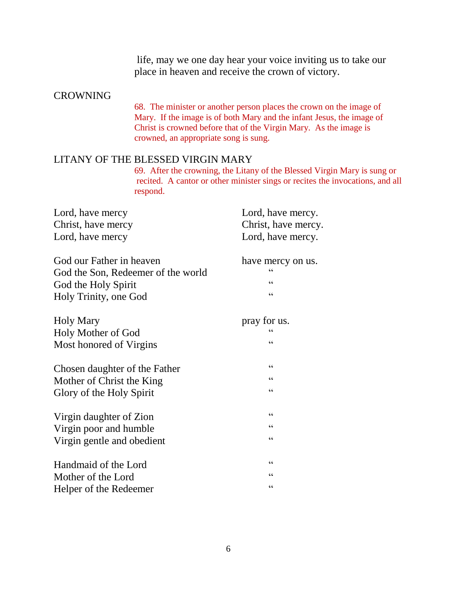life, may we one day hear your voice inviting us to take our place in heaven and receive the crown of victory.

## CROWNING

68. The minister or another person places the crown on the image of Mary. If the image is of both Mary and the infant Jesus, the image of Christ is crowned before that of the Virgin Mary. As the image is crowned, an appropriate song is sung.

#### LITANY OF THE BLESSED VIRGIN MARY

69. After the crowning, the Litany of the Blessed Virgin Mary is sung or recited. A cantor or other minister sings or recites the invocations, and all respond.

| Lord, have mercy                   | Lord, have mercy.   |
|------------------------------------|---------------------|
| Christ, have mercy                 | Christ, have mercy. |
| Lord, have mercy                   | Lord, have mercy.   |
| God our Father in heaven           | have mercy on us.   |
| God the Son, Redeemer of the world | C                   |
| God the Holy Spirit                | C                   |
| Holy Trinity, one God              | C                   |
| <b>Holy Mary</b>                   | pray for us.        |
| Holy Mother of God                 | $\epsilon$          |
| Most honored of Virgins            | $\epsilon$          |
| Chosen daughter of the Father      | C                   |
| Mother of Christ the King          | C C                 |
| Glory of the Holy Spirit           | C C                 |
| Virgin daughter of Zion            | $\subset$           |
| Virgin poor and humble             | C C                 |
| Virgin gentle and obedient         | C                   |
| Handmaid of the Lord               | C C                 |
| Mother of the Lord                 | $\subset \subset$   |
| Helper of the Redeemer             | $\subset$           |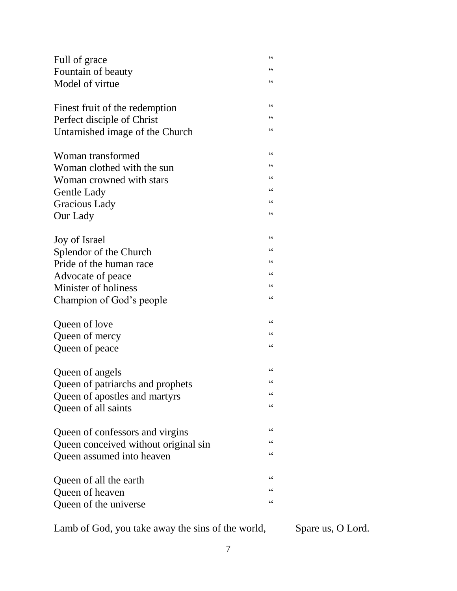| Full of grace<br>Fountain of beauty<br>Model of virtue                                          | C<br>C<br>C                            |
|-------------------------------------------------------------------------------------------------|----------------------------------------|
| Finest fruit of the redemption<br>Perfect disciple of Christ<br>Untarnished image of the Church | $\epsilon$<br>$\epsilon$<br>$\epsilon$ |
| Woman transformed<br>Woman clothed with the sun                                                 | C<br>$\epsilon$                        |
| Woman crowned with stars<br>Gentle Lady                                                         | C<br>$\epsilon$<br>$\epsilon$          |
| Gracious Lady<br>Our Lady                                                                       | C                                      |
| Joy of Israel<br>Splendor of the Church                                                         | $\epsilon$<br>$\epsilon$               |
| Pride of the human race                                                                         | C                                      |
| Advocate of peace                                                                               | C                                      |
| Minister of holiness<br>Champion of God's people                                                | C<br>C                                 |
| Queen of love                                                                                   | C                                      |
| Queen of mercy                                                                                  | $\epsilon$                             |
| Queen of peace                                                                                  | C                                      |
| Queen of angels                                                                                 | $\epsilon$                             |
| Queen of patriarchs and prophets                                                                | C                                      |
| Queen of apostles and martyrs                                                                   | $\epsilon$                             |
| Queen of all saints                                                                             | C                                      |
| Queen of confessors and virgins                                                                 | $\epsilon$                             |
| Queen conceived without original sin                                                            | $\epsilon$                             |
| Queen assumed into heaven                                                                       | C                                      |
| Queen of all the earth                                                                          | C<br>$\epsilon$                        |
| Queen of heaven                                                                                 | C                                      |
| Queen of the universe                                                                           |                                        |

Lamb of God, you take away the sins of the world, Spare us, O Lord.